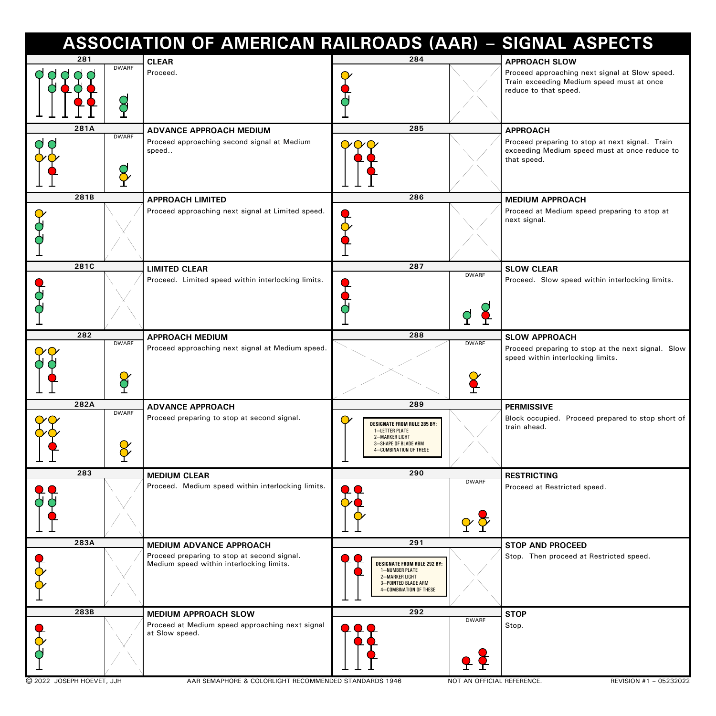|                           | <b>ASSOCIATION OF AMERICAN RAILROADS (AAR) - SIGNAL ASPECTS</b>                                                            |                                                                                                                                              |                                                                                                                                    |  |
|---------------------------|----------------------------------------------------------------------------------------------------------------------------|----------------------------------------------------------------------------------------------------------------------------------------------|------------------------------------------------------------------------------------------------------------------------------------|--|
| 281                       | <b>CLEAR</b>                                                                                                               | 284                                                                                                                                          | <b>APPROACH SLOW</b>                                                                                                               |  |
| <b>DWARF</b>              | Proceed.                                                                                                                   |                                                                                                                                              | Proceed approaching next signal at Slow speed.<br>Train exceeding Medium speed must at once<br>reduce to that speed.               |  |
| 281A                      |                                                                                                                            | 285                                                                                                                                          |                                                                                                                                    |  |
| <b>DWARF</b><br>$\bullet$ | <b>ADVANCE APPROACH MEDIUM</b><br>Proceed approaching second signal at Medium<br>speed                                     |                                                                                                                                              | <b>APPROACH</b><br>Proceed preparing to stop at next signal. Train<br>exceeding Medium speed must at once reduce to<br>that speed. |  |
| 281B                      | <b>APPROACH LIMITED</b>                                                                                                    | 286                                                                                                                                          | <b>MEDIUM APPROACH</b>                                                                                                             |  |
|                           | Proceed approaching next signal at Limited speed.                                                                          |                                                                                                                                              | Proceed at Medium speed preparing to stop at<br>next signal.                                                                       |  |
| 281C                      | <b>LIMITED CLEAR</b>                                                                                                       | 287                                                                                                                                          | <b>SLOW CLEAR</b>                                                                                                                  |  |
|                           | Proceed. Limited speed within interlocking limits.                                                                         | <b>DWARF</b>                                                                                                                                 | Proceed. Slow speed within interlocking limits.                                                                                    |  |
| 282<br><b>DWARF</b>       | <b>APPROACH MEDIUM</b>                                                                                                     | 288<br><b>DWARF</b>                                                                                                                          | <b>SLOW APPROACH</b>                                                                                                               |  |
|                           | Proceed approaching next signal at Medium speed.                                                                           |                                                                                                                                              | Proceed preparing to stop at the next signal. Slow<br>speed within interlocking limits.                                            |  |
| 282A                      | <b>ADVANCE APPROACH</b>                                                                                                    | 289                                                                                                                                          | <b>PERMISSIVE</b>                                                                                                                  |  |
| <b>DWARF</b>              | Proceed preparing to stop at second signal.                                                                                | <b>DESIGNATE FROM RULE 285 BY:</b><br><b>1-LETTER PLATE</b><br>2-MARKER LIGHT<br><b>3-SHAPE OF BLADE ARM</b><br>4-COMBINATION OF THESE       | Block occupied. Proceed prepared to stop short of<br>train ahead.                                                                  |  |
| 283                       | <b>MEDIUM CLEAR</b>                                                                                                        | 290                                                                                                                                          | <b>RESTRICTING</b>                                                                                                                 |  |
|                           | Proceed. Medium speed within interlocking limits.                                                                          | <b>DWARF</b><br>$\alpha \Delta$                                                                                                              | Proceed at Restricted speed.                                                                                                       |  |
| 283A                      | <b>MEDIUM ADVANCE APPROACH</b>                                                                                             | 291                                                                                                                                          | <b>STOP AND PROCEED</b>                                                                                                            |  |
|                           | Proceed preparing to stop at second signal.<br>Medium speed within interlocking limits.                                    | <b>DESIGNATE FROM RULE 292 BY:</b><br><b>1-NUMBER PLATE</b><br>2-MARKER LIGHT<br><b>3-POINTED BLADE ARM</b><br><b>4-COMBINATION OF THESE</b> | Stop. Then proceed at Restricted speed.                                                                                            |  |
| 283B                      | <b>MEDIUM APPROACH SLOW</b>                                                                                                | 292                                                                                                                                          | <b>STOP</b>                                                                                                                        |  |
| C 2022 JOSEPH HOEVET, JJH | Proceed at Medium speed approaching next signal<br>at Slow speed.<br>AAR SEMAPHORE & COLORLIGHT RECOMMENDED STANDARDS 1946 | <b>DWARF</b>                                                                                                                                 | Stop.<br>NOT AN OFFICIAL REFERENCE.<br>REVISION #1 - 05232022                                                                      |  |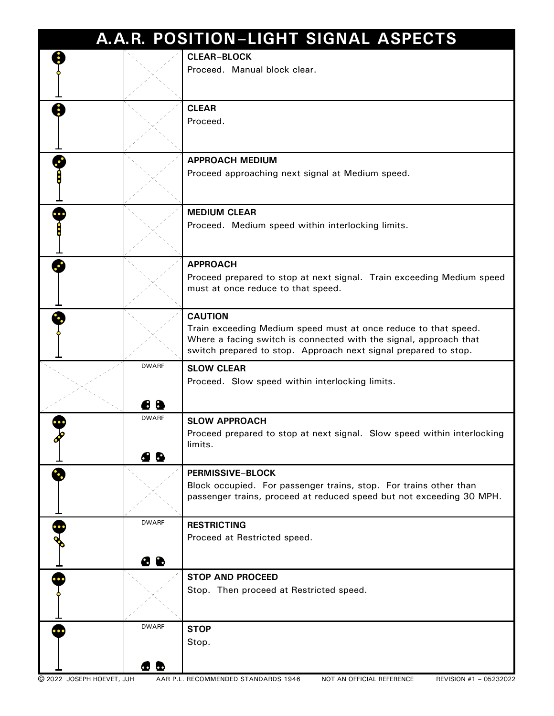| A.A.R. POSITION-LIGHT SIGNAL ASPECTS |                           |                                                                                                                                                                                                                           |  |  |  |  |
|--------------------------------------|---------------------------|---------------------------------------------------------------------------------------------------------------------------------------------------------------------------------------------------------------------------|--|--|--|--|
|                                      |                           | <b>CLEAR-BLOCK</b><br>Proceed. Manual block clear.                                                                                                                                                                        |  |  |  |  |
|                                      |                           | <b>CLEAR</b><br>Proceed.                                                                                                                                                                                                  |  |  |  |  |
|                                      |                           | <b>APPROACH MEDIUM</b><br>Proceed approaching next signal at Medium speed.                                                                                                                                                |  |  |  |  |
|                                      |                           | <b>MEDIUM CLEAR</b><br>Proceed. Medium speed within interlocking limits.                                                                                                                                                  |  |  |  |  |
|                                      |                           | <b>APPROACH</b><br>Proceed prepared to stop at next signal. Train exceeding Medium speed<br>must at once reduce to that speed.                                                                                            |  |  |  |  |
|                                      |                           | <b>CAUTION</b><br>Train exceeding Medium speed must at once reduce to that speed.<br>Where a facing switch is connected with the signal, approach that<br>switch prepared to stop. Approach next signal prepared to stop. |  |  |  |  |
|                                      | <b>DWARF</b><br>8<br>H    | <b>SLOW CLEAR</b><br>Proceed. Slow speed within interlocking limits.                                                                                                                                                      |  |  |  |  |
|                                      | <b>DWARF</b><br>4 B       | <b>SLOW APPROACH</b><br>Proceed prepared to stop at next signal. Slow speed within interlocking<br>limits.                                                                                                                |  |  |  |  |
|                                      |                           | <b>PERMISSIVE-BLOCK</b><br>Block occupied. For passenger trains, stop. For trains other than<br>passenger trains, proceed at reduced speed but not exceeding 30 MPH.                                                      |  |  |  |  |
|                                      | <b>DWARF</b><br><b>88</b> | <b>RESTRICTING</b><br>Proceed at Restricted speed.                                                                                                                                                                        |  |  |  |  |
|                                      |                           | <b>STOP AND PROCEED</b><br>Stop. Then proceed at Restricted speed.                                                                                                                                                        |  |  |  |  |
|                                      | <b>DWARF</b><br><b>GO</b> | <b>STOP</b><br>Stop.                                                                                                                                                                                                      |  |  |  |  |
| C 2022 JOSEPH HOEVET, JJH            |                           | AAR P.L. RECOMMENDED STANDARDS 1946<br>REVISION #1 - 05232022<br>NOT AN OFFICIAL REFERENCE                                                                                                                                |  |  |  |  |